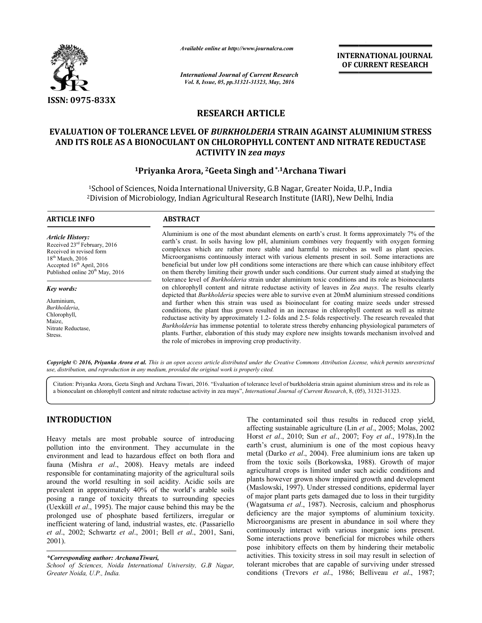

*Available online at http://www.journal http://www.journalcra.com*

*International Journal of Current Research Vol. 8, Issue, 05, pp.31321-31323, May, 2016*

**INTERNATIONAL JOURNAL OF CURRENT RESEARCH** 

# **RESEARCH ARTICLE**

## **EVALUATION OF TOLERANCE LEVEL OF OF OF** *BURKHOLDERIA* **STRAIN AGAINST ALUMINIUM STRESS AND ITS ROLE AS A BIONOCULANT ON CHLOROPHYLL CONTENT AND NITRATE REDUCTASE CONTENT ACTIVITY IN** *zea mays*

## **1Priyanka Arora, Priyanka 2Geeta Singh and\*,1Archana Tiwari**

<sup>1</sup>School of Sciences, Noida International University, G.B Nagar, Greater Noida, U.P., India <sup>1</sup>School of Sciences, Noida International University, G.B Nagar, Greater Noida, U.P., India<br><sup>2</sup>Division of Microbiology, Indian Agricultural Research Institute (IARI), New Delhi, India

| <b>ARTICLE INFO</b>                                                                                                                                                                                 | <b>ABSTRACT</b>                                                                                                                                                                                                                                                                                                                                                                                                                                                                                                                                                                                                                                                                                                                                                                                                                                                                                                                                                                                                                                                                                                                                                                                                                                                                                                                                                                                                                                                                                                                                  |
|-----------------------------------------------------------------------------------------------------------------------------------------------------------------------------------------------------|--------------------------------------------------------------------------------------------------------------------------------------------------------------------------------------------------------------------------------------------------------------------------------------------------------------------------------------------------------------------------------------------------------------------------------------------------------------------------------------------------------------------------------------------------------------------------------------------------------------------------------------------------------------------------------------------------------------------------------------------------------------------------------------------------------------------------------------------------------------------------------------------------------------------------------------------------------------------------------------------------------------------------------------------------------------------------------------------------------------------------------------------------------------------------------------------------------------------------------------------------------------------------------------------------------------------------------------------------------------------------------------------------------------------------------------------------------------------------------------------------------------------------------------------------|
| <b>Article History:</b><br>Received 23 <sup>rd</sup> February, 2016<br>Received in revised form<br>$18th$ March, 2016<br>Accepted $16th$ April, 2016<br>Published online 20 <sup>th</sup> May, 2016 | Aluminium is one of the most abundant elements on earth's crust. It forms approximately 7% of the<br>earth's crust. In soils having low pH, aluminium combines very frequently with oxygen forming<br>complexes which are rather more stable and harmful to microbes as well as plant species.<br>Microorganisms continuously interact with various elements present in soil. Some interactions are<br>beneficial but under low pH conditions some interactions are there which can cause inhibitory effect<br>on them thereby limiting their growth under such conditions. Our current study aimed at studying the<br>tolerance level of <i>Burkholderia</i> strain under aluminium toxic conditions and its role as bioinoculants<br>on chlorophyll content and nitrate reductase activity of leaves in Zea mays. The results clearly<br>depicted that <i>Burkholderia</i> species were able to survive even at 20mM aluminium stressed conditions<br>and further when this strain was used as bioinoculant for coating maize seeds under stressed<br>conditions, the plant thus grown resulted in an increase in chlorophyll content as well as nitrate<br>reductase activity by approximately 1.2- folds and 2.5- folds respectively. The research revealed that<br><i>Burkholderia</i> has immense potential to tolerate stress thereby enhancing physiological parameters of<br>plants. Further, elaboration of this study may explore new insights towards mechanism involved and<br>the role of microbes in improving crop productivity. |
| Key words:<br>Aluminium,<br>Burkholderia,<br>Chlorophyll,<br>Maize,<br>Nitrate Reductase,<br>Stress.                                                                                                |                                                                                                                                                                                                                                                                                                                                                                                                                                                                                                                                                                                                                                                                                                                                                                                                                                                                                                                                                                                                                                                                                                                                                                                                                                                                                                                                                                                                                                                                                                                                                  |

Copyright © 2016, Priyanka Arora et al. This is an open access article distributed under the Creative Commons Attribution License, which permits unrestricted *use, distribution, and reproduction in any medium, provided the original work is properly cited.*

Citation: Priyanka Arora, Geeta Singh and Archana Tiwari, 2016. "Evaluation of tolerance level of burkholderia strain against aluminium stress and its role as a bionoculant on chlorophyll content and nitrate reductase activity in zea mays", *International Journal of Current Research*, 8, (05), 31321-31323.

# **INTRODUCTION**

Heavy metals are most probable source of introducing pollution into the environment. They accumulate in the environment and lead to hazardous effect on both flora and fauna (Mishra *et al*., 2008). Heavy metals are indeed responsible for contaminating majority of the agricultural soils around the world resulting in soil acidity. Acidic soils are prevalent in approximately 40% of the world's arable soils posing a range of toxicity threats to surrounding species (Uexküll *et al*., 1995). The major cause behind this may be the prolonged use of phosphate based fertilizers, irregular or inefficient watering of land, industrial wastes, etc. (Passariello *et al*., 2002; Schwartz *et al*., 2001; Bell *et al* ., 2001, Sani, 2001). Heavy metals are most probable source of introducing pollution into the environment. They accumulate in the environment and lead to hazardous effect on both flora and fauna (Mishra *et al.*, 2008). Heavy metals are indeed

**ODUCTION**<br>
The contaminated soil thus results in reduced crop yield,<br>
metals are most probable source of introducing sursational eagular elating sursation and the environment. They accumulate in the earth's crust, alumin affecting sustainable agriculture (Lin Lin *et al*., 2005; Molas, 2002 Horst *et al*., 2010; Sun *et al*., 2007; Foy *et al*., 1978).In the earth's crust, aluminium is one of the most copious heavy metal (Darko *et al*., 2004). Free aluminium ions are taken up from the toxic soils (Borkowska, 1988). Growth of major 1988). Growth of agricultural crops is limited under such acidic conditions and plants however grown show impaired growth and development (Maslowski, 1997). Under stressed conditions, epidermal layer of major plant parts gets damaged due to loss in their turgidity (Wagatsuma et al., 1987). Necrosis, calcium and phosphorus deficiency are the major symptoms of aluminium toxicity. deficiency are the major symptoms of aluminium toxicity.<br>Microorganisms are present in abundance in soil where they continuously interact with various inorganic ions present. Some interactions prove beneficial for microbes while others pose inhibitory effects on them by hindering their metabolic activities. This toxicity stress in soil may result in selection of tolerant microbes that are capable of surviving under stressed conditions (Trevors *et al*., 1986; Belliveau *et al*., 1987; The contaminated soil thus results in reduced crop yield,

*<sup>\*</sup>Corresponding author: ArchanaTiwari,*

*School of Sciences, Noida International University, G.B Nagar, Greater Noida, U.P., India.*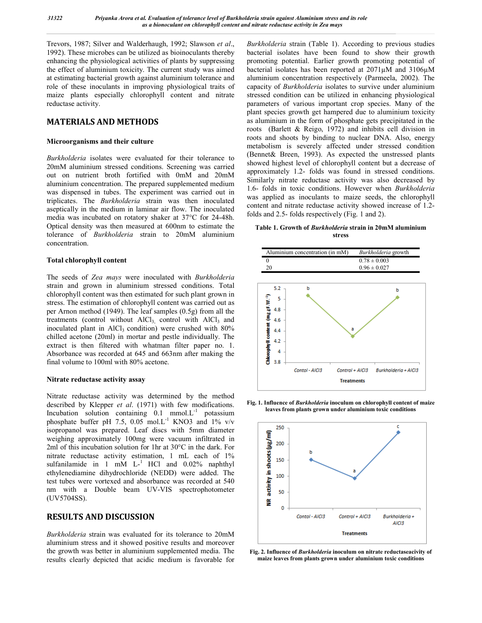Trevors, 1987; Silver and Walderhaugh, 1992; Slawson *et al*., 1992). These microbes can be utilized as bioinoculants thereby enhancing the physiological activities of plants by suppressing the effect of aluminium toxicity. The current study was aimed at estimating bacterial growth against aluminium tolerance and role of these inoculants in improving physiological traits of maize plants especially chlorophyll content and nitrate reductase activity.

### **MATERIALS AND METHODS**

#### **Microorganisms and their culture**

*Burkholderia* isolates were evaluated for their tolerance to 20mM aluminium stressed conditions. Screening was carried out on nutrient broth fortified with 0mM and 20mM aluminium concentration. The prepared supplemented medium was dispensed in tubes. The experiment was carried out in triplicates. The *Burkholderia* strain was then inoculated aseptically in the medium in laminar air flow. The inoculated media was incubated on rotatory shaker at 37°C for 24-48h. Optical density was then measured at 600nm to estimate the tolerance of *Burkholderia* strain to 20mM aluminium concentration.

#### **Total chlorophyll content**

The seeds of *Zea mays* were inoculated with *Burkholderia* strain and grown in aluminium stressed conditions. Total chlorophyll content was then estimated for such plant grown in stress. The estimation of chlorophyll content was carried out as per Arnon method (1949). The leaf samples (0.5g) from all the treatments (control without  $AICI<sub>3</sub>$  control with  $AICI<sub>3</sub>$  and inoculated plant in  $AICI_3$  condition) were crushed with  $80\%$ chilled acetone (20ml) in mortar and pestle individually. The extract is then filtered with whatman filter paper no. 1. Absorbance was recorded at 645 and 663nm after making the final volume to 100ml with 80% acetone.

#### **Nitrate reductase activity assay**

Nitrate reductase activity was determined by the method described by Klepper *et al*. (1971) with few modifications. Incubation solution containing  $0.1 \text{ mmol.} \text{L}^{-1}$  potassium phosphate buffer pH 7.5, 0.05 mol.L<sup>-1</sup> KNO3 and 1% v/v isopropanol was prepared. Leaf discs with 5mm diameter weighing approximately 100mg were vacuum infiltrated in 2ml of this incubation solution for 1hr at 30°C in the dark. For nitrate reductase activity estimation, 1 mL each of 1% sulfanilamide in 1 mM  $L^{-1}$  HCl and 0.02% naphthyl ethylenediamine dihydrochloride (NEDD) were added. The test tubes were vortexed and absorbance was recorded at 540 nm with a Double beam UV-VIS spectrophotometer (UV5704SS).

#### **RESULTS AND DISCUSSION**

*Burkholderia* strain was evaluated for its tolerance to 20mM aluminium stress and it showed positive results and moreover the growth was better in aluminium supplemented media. The results clearly depicted that acidic medium is favorable for

*Burkholderia* strain (Table 1). According to previous studies bacterial isolates have been found to show their growth promoting potential. Earlier growth promoting potential of bacterial isolates has been reported at 2071µM and 3106µM aluminium concentration respectively (Parmeela, 2002). The capacity of *Burkholderia* isolates to survive under aluminium stressed condition can be utilized in enhancing physiological parameters of various important crop species. Many of the plant species growth get hampered due to aluminium toxicity as aluminium in the form of phosphate gets precipitated in the roots (Barlett & Reigo, 1972) and inhibits cell division in roots and shoots by binding to nuclear DNA. Also, energy metabolism is severely affected under stressed condition (Bennet& Breen, 1993). As expected the unstressed plants showed highest level of chlorophyll content but a decrease of approximately 1.2- folds was found in stressed conditions. Similarly nitrate reductase activity was also decreased by 1.6- folds in toxic conditions. However when *Burkholderia* was applied as inoculants to maize seeds, the chlorophyll content and nitrate reductase activity showed increase of 1.2 folds and 2.5- folds respectively (Fig. 1 and 2).

**Table 1. Growth of** *Burkholderia* **strain in 20mM aluminium stress**



**Fig. 1. Influence of** *Burkholderia* **inoculum on chlorophyll content of maize leaves from plants grown under aluminium toxic conditions**



**Fig. 2. Influence of** *Burkholderia* **inoculum on nitrate reductaseacivity of maize leaves from plants grown under aluminium toxic conditions**